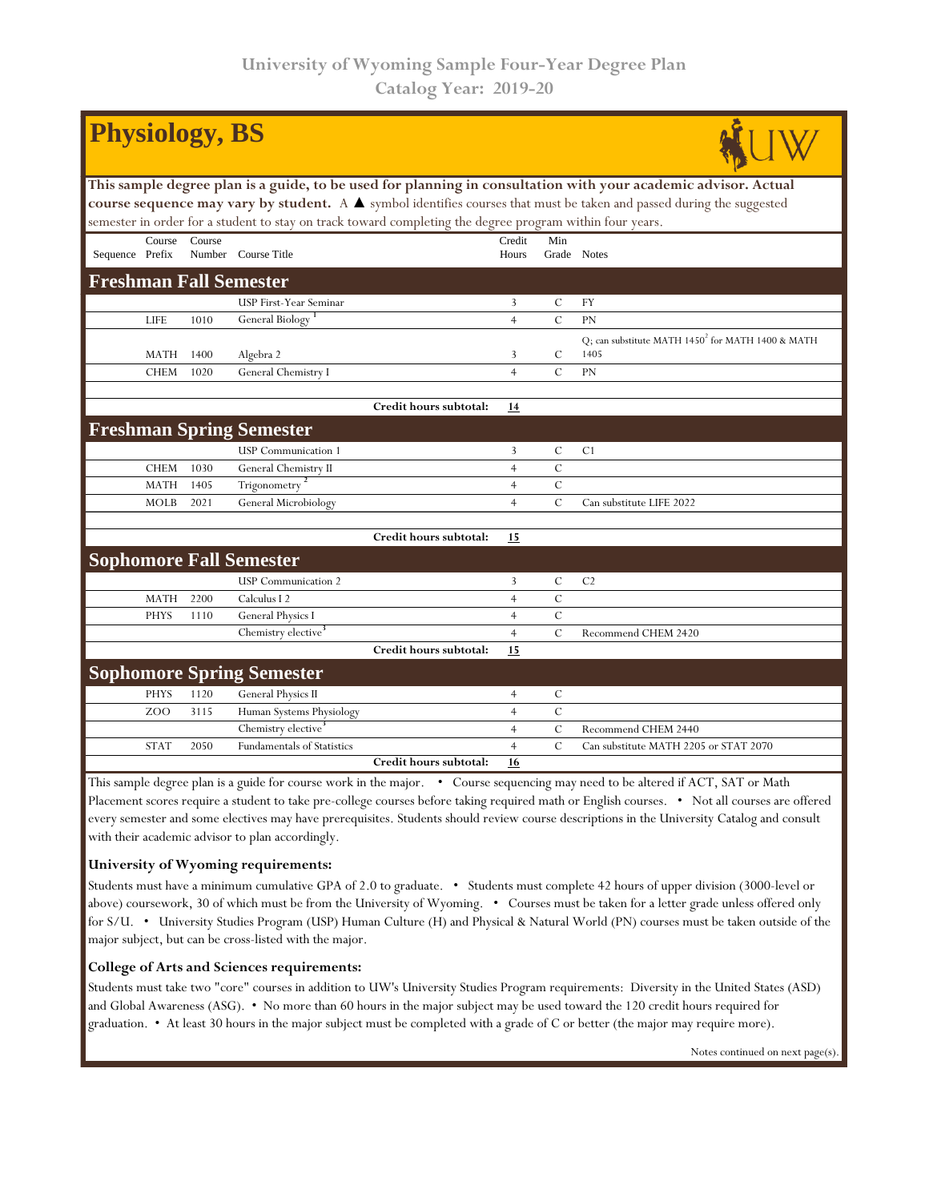| <b>Physiology, BS</b>                                                                                                 |                  |        |                                   |                        |                |               |                                                      |  |  |  |  |  |  |
|-----------------------------------------------------------------------------------------------------------------------|------------------|--------|-----------------------------------|------------------------|----------------|---------------|------------------------------------------------------|--|--|--|--|--|--|
| This sample degree plan is a guide, to be used for planning in consultation with your academic advisor. Actual        |                  |        |                                   |                        |                |               |                                                      |  |  |  |  |  |  |
| course sequence may vary by student. A A symbol identifies courses that must be taken and passed during the suggested |                  |        |                                   |                        |                |               |                                                      |  |  |  |  |  |  |
| semester in order for a student to stay on track toward completing the degree program within four years.              |                  |        |                                   |                        |                |               |                                                      |  |  |  |  |  |  |
|                                                                                                                       | Course           | Course |                                   |                        | Credit         | Min           |                                                      |  |  |  |  |  |  |
| Sequence Prefix                                                                                                       |                  |        | Number Course Title               |                        | Hours          |               | Grade Notes                                          |  |  |  |  |  |  |
| <b>Freshman Fall Semester</b>                                                                                         |                  |        |                                   |                        |                |               |                                                      |  |  |  |  |  |  |
|                                                                                                                       |                  |        | USP First-Year Seminar            |                        | 3              | C             | FY                                                   |  |  |  |  |  |  |
|                                                                                                                       | <b>LIFE</b>      | 1010   | General Biology <sup>1</sup>      |                        | $\overline{4}$ | $\mathcal{C}$ | <b>PN</b>                                            |  |  |  |  |  |  |
|                                                                                                                       |                  |        |                                   |                        |                |               | Q; can substitute MATH $1450^2$ for MATH 1400 & MATH |  |  |  |  |  |  |
|                                                                                                                       | <b>MATH</b>      | 1400   | Algebra 2                         |                        | 3              | C             | 1405                                                 |  |  |  |  |  |  |
|                                                                                                                       | <b>CHEM</b>      | 1020   | General Chemistry I               |                        | $\overline{4}$ | $\mathcal{C}$ | PN                                                   |  |  |  |  |  |  |
|                                                                                                                       |                  |        |                                   |                        |                |               |                                                      |  |  |  |  |  |  |
|                                                                                                                       |                  |        |                                   | Credit hours subtotal: | <u>14</u>      |               |                                                      |  |  |  |  |  |  |
|                                                                                                                       |                  |        | <b>Freshman Spring Semester</b>   |                        |                |               |                                                      |  |  |  |  |  |  |
|                                                                                                                       |                  |        | <b>USP</b> Communication 1        |                        | 3              | C             | C <sub>1</sub>                                       |  |  |  |  |  |  |
|                                                                                                                       | <b>CHEM</b>      | 1030   | General Chemistry II              |                        | $\overline{4}$ | $\mathcal{C}$ |                                                      |  |  |  |  |  |  |
|                                                                                                                       | <b>MATH</b>      | 1405   | Trigonometry <sup>2</sup>         |                        | $\overline{4}$ | $\mathbf C$   |                                                      |  |  |  |  |  |  |
|                                                                                                                       | <b>MOLB</b>      | 2021   | General Microbiology              |                        | $\overline{4}$ | $\mathcal{C}$ | Can substitute LIFE 2022                             |  |  |  |  |  |  |
|                                                                                                                       |                  |        |                                   |                        |                |               |                                                      |  |  |  |  |  |  |
|                                                                                                                       |                  |        |                                   | Credit hours subtotal: | 15             |               |                                                      |  |  |  |  |  |  |
|                                                                                                                       |                  |        | <b>Sophomore Fall Semester</b>    |                        |                |               |                                                      |  |  |  |  |  |  |
|                                                                                                                       |                  |        | <b>USP</b> Communication 2        |                        | 3              | $\mathbf C$   | C <sub>2</sub>                                       |  |  |  |  |  |  |
|                                                                                                                       | <b>MATH</b>      | 2200   | Calculus I 2                      |                        | $\overline{4}$ | $\cal C$      |                                                      |  |  |  |  |  |  |
|                                                                                                                       | <b>PHYS</b>      | 1110   | General Physics I                 |                        | $\overline{4}$ | $\mathcal{C}$ |                                                      |  |  |  |  |  |  |
|                                                                                                                       |                  |        | Chemistry elective <sup>3</sup>   |                        | $\overline{4}$ | $\mathcal{C}$ | Recommend CHEM 2420                                  |  |  |  |  |  |  |
|                                                                                                                       |                  |        |                                   | Credit hours subtotal: | 15             |               |                                                      |  |  |  |  |  |  |
|                                                                                                                       |                  |        | <b>Sophomore Spring Semester</b>  |                        |                |               |                                                      |  |  |  |  |  |  |
|                                                                                                                       | <b>PHYS</b>      | 1120   | <b>General Physics II</b>         |                        | $\overline{4}$ | $\mathcal{C}$ |                                                      |  |  |  |  |  |  |
|                                                                                                                       | Z <sub>O</sub> O | 3115   | Human Systems Physiology          |                        | $\overline{4}$ | $\mathbf C$   |                                                      |  |  |  |  |  |  |
|                                                                                                                       |                  |        |                                   |                        |                | $\mathbf C$   | Recommend CHEM 2440                                  |  |  |  |  |  |  |
|                                                                                                                       |                  |        | Chemistry elective <sup>3</sup>   |                        | $\overline{4}$ |               |                                                      |  |  |  |  |  |  |
|                                                                                                                       | <b>STAT</b>      | 2050   | <b>Fundamentals of Statistics</b> | Credit hours subtotal: | $\overline{4}$ | $\mathcal{C}$ | Can substitute MATH 2205 or STAT 2070                |  |  |  |  |  |  |

This sample degree plan is a guide for course work in the major. • Course sequencing may need to be altered if ACT, SAT or Math Placement scores require a student to take pre-college courses before taking required math or English courses. • Not all courses are offered every semester and some electives may have prerequisites. Students should review course descriptions in the University Catalog and consult with their academic advisor to plan accordingly.

## **University of Wyoming requirements:**

Students must have a minimum cumulative GPA of 2.0 to graduate. • Students must complete 42 hours of upper division (3000-level or above) coursework, 30 of which must be from the University of Wyoming. • Courses must be taken for a letter grade unless offered only for S/U. • University Studies Program (USP) Human Culture (H) and Physical & Natural World (PN) courses must be taken outside of the major subject, but can be cross-listed with the major.

## **College of Arts and Sciences requirements:**

Students must take two "core" courses in addition to UW's University Studies Program requirements: Diversity in the United States (ASD) and Global Awareness (ASG). • No more than 60 hours in the major subject may be used toward the 120 credit hours required for graduation. • At least 30 hours in the major subject must be completed with a grade of C or better (the major may require more).

Notes continued on next page(s).